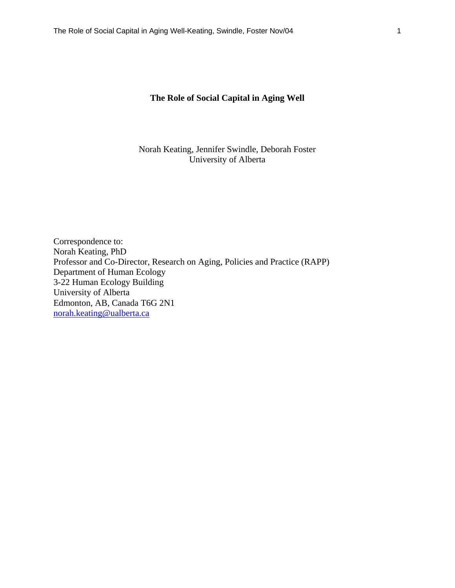## **The Role of Social Capital in Aging Well**

Norah Keating, Jennifer Swindle, Deborah Foster University of Alberta

Correspondence to: Norah Keating*,* PhD Professor and Co-Director, Research on Aging, Policies and Practice (RAPP) Department of Human Ecology 3-22 Human Ecology Building University of Alberta Edmonton, AB, Canada T6G 2N1 norah.keating@ualberta.ca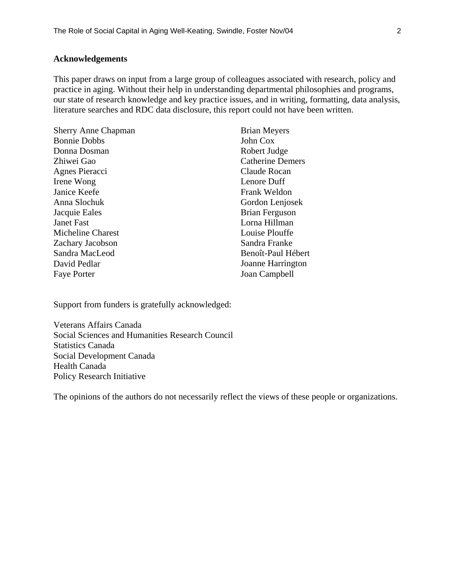## **Acknowledgements**

This paper draws on input from a large group of colleagues associated with research, policy and practice in aging. Without their help in understanding departmental philosophies and programs, our state of research knowledge and key practice issues, and in writing, formatting, data analysis, literature searches and RDC data disclosure, this report could not have been written.

| <b>Sherry Anne Chapman</b> | <b>Brian Meyers</b>     |  |  |
|----------------------------|-------------------------|--|--|
| <b>Bonnie Dobbs</b>        | John Cox                |  |  |
| Donna Dosman               | Robert Judge            |  |  |
| Zhiwei Gao                 | <b>Catherine Demers</b> |  |  |
| Agnes Pieracci             | Claude Rocan            |  |  |
| Irene Wong                 | Lenore Duff             |  |  |
| Janice Keefe               | Frank Weldon            |  |  |
| Anna Slochuk               | Gordon Lenjosek         |  |  |
| Jacquie Eales              | <b>Brian Ferguson</b>   |  |  |
| <b>Janet Fast</b>          | Lorna Hillman           |  |  |
| Micheline Charest          | Louise Plouffe          |  |  |
| Zachary Jacobson           | Sandra Franke           |  |  |
| Sandra MacLeod             | Benoît-Paul Hébert      |  |  |
| David Pedlar               | Joanne Harrington       |  |  |
| <b>Faye Porter</b>         | Joan Campbell           |  |  |

Support from funders is gratefully acknowledged:

Veterans Affairs Canada Social Sciences and Humanities Research Council Statistics Canada Social Development Canada Health Canada Policy Research Initiative

The opinions of the authors do not necessarily reflect the views of these people or organizations.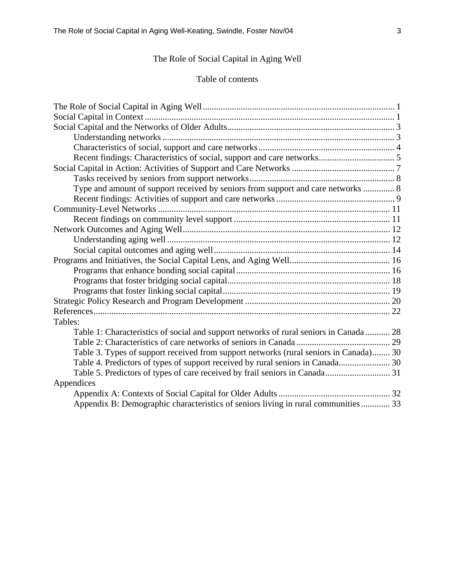# The Role of Social Capital in Aging Well

## Table of contents

| Type and amount of support received by seniors from support and care networks  8       |
|----------------------------------------------------------------------------------------|
|                                                                                        |
|                                                                                        |
|                                                                                        |
|                                                                                        |
|                                                                                        |
|                                                                                        |
|                                                                                        |
|                                                                                        |
|                                                                                        |
|                                                                                        |
|                                                                                        |
|                                                                                        |
| Tables:                                                                                |
| Table 1: Characteristics of social and support networks of rural seniors in Canada  28 |
|                                                                                        |
| Table 3. Types of support received from support networks (rural seniors in Canada) 30  |
|                                                                                        |
|                                                                                        |
| Appendices                                                                             |
|                                                                                        |
| Appendix B: Demographic characteristics of seniors living in rural communities 33      |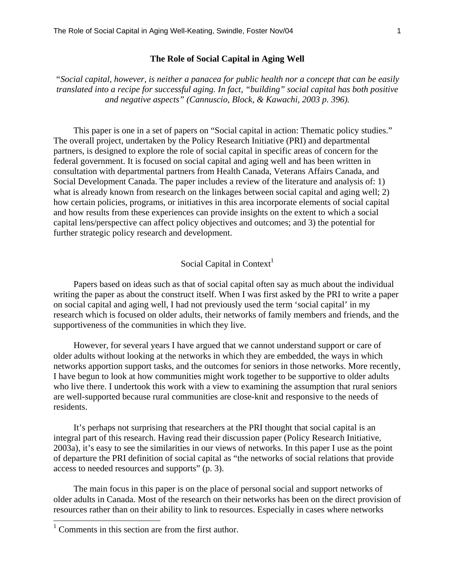#### **The Role of Social Capital in Aging Well**

*"Social capital, however, is neither a panacea for public health nor a concept that can be easily translated into a recipe for successful aging. In fact, "building" social capital has both positive and negative aspects" (Cannuscio, Block, & Kawachi, 2003 p. 396).* 

This paper is one in a set of papers on "Social capital in action: Thematic policy studies." The overall project, undertaken by the Policy Research Initiative (PRI) and departmental partners, is designed to explore the role of social capital in specific areas of concern for the federal government. It is focused on social capital and aging well and has been written in consultation with departmental partners from Health Canada, Veterans Affairs Canada, and Social Development Canada. The paper includes a review of the literature and analysis of: 1) what is already known from research on the linkages between social capital and aging well; 2) how certain policies, programs, or initiatives in this area incorporate elements of social capital and how results from these experiences can provide insights on the extent to which a social capital lens/perspective can affect policy objectives and outcomes; and 3) the potential for further strategic policy research and development.

## Social Capital in Context<sup>1</sup>

Papers based on ideas such as that of social capital often say as much about the individual writing the paper as about the construct itself. When I was first asked by the PRI to write a paper on social capital and aging well, I had not previously used the term 'social capital' in my research which is focused on older adults, their networks of family members and friends, and the supportiveness of the communities in which they live.

However, for several years I have argued that we cannot understand support or care of older adults without looking at the networks in which they are embedded, the ways in which networks apportion support tasks, and the outcomes for seniors in those networks. More recently, I have begun to look at how communities might work together to be supportive to older adults who live there. I undertook this work with a view to examining the assumption that rural seniors are well-supported because rural communities are close-knit and responsive to the needs of residents.

It's perhaps not surprising that researchers at the PRI thought that social capital is an integral part of this research. Having read their discussion paper (Policy Research Initiative, 2003a), it's easy to see the similarities in our views of networks. In this paper I use as the point of departure the PRI definition of social capital as "the networks of social relations that provide access to needed resources and supports" (p. 3).

The main focus in this paper is on the place of personal social and support networks of older adults in Canada. Most of the research on their networks has been on the direct provision of resources rather than on their ability to link to resources. Especially in cases where networks

l

<sup>&</sup>lt;sup>1</sup> Comments in this section are from the first author.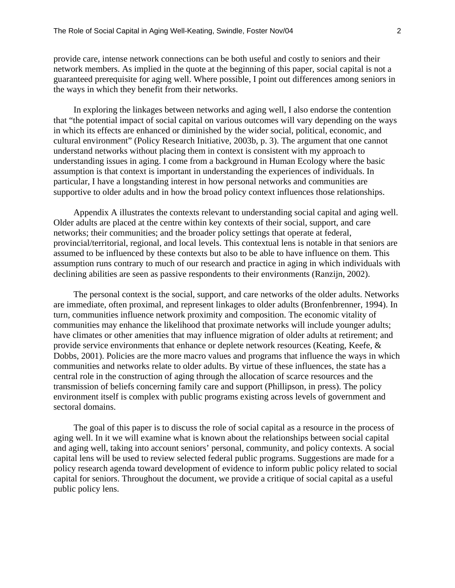provide care, intense network connections can be both useful and costly to seniors and their network members. As implied in the quote at the beginning of this paper, social capital is not a guaranteed prerequisite for aging well. Where possible, I point out differences among seniors in the ways in which they benefit from their networks.

In exploring the linkages between networks and aging well, I also endorse the contention that "the potential impact of social capital on various outcomes will vary depending on the ways in which its effects are enhanced or diminished by the wider social, political, economic, and cultural environment" (Policy Research Initiative, 2003b, p. 3). The argument that one cannot understand networks without placing them in context is consistent with my approach to understanding issues in aging. I come from a background in Human Ecology where the basic assumption is that context is important in understanding the experiences of individuals. In particular, I have a longstanding interest in how personal networks and communities are supportive to older adults and in how the broad policy context influences those relationships.

Appendix A illustrates the contexts relevant to understanding social capital and aging well. Older adults are placed at the centre within key contexts of their social, support, and care networks; their communities; and the broader policy settings that operate at federal, provincial/territorial, regional, and local levels. This contextual lens is notable in that seniors are assumed to be influenced by these contexts but also to be able to have influence on them. This assumption runs contrary to much of our research and practice in aging in which individuals with declining abilities are seen as passive respondents to their environments (Ranzijn, 2002).

The personal context is the social, support, and care networks of the older adults. Networks are immediate, often proximal, and represent linkages to older adults (Bronfenbrenner, 1994). In turn, communities influence network proximity and composition. The economic vitality of communities may enhance the likelihood that proximate networks will include younger adults; have climates or other amenities that may influence migration of older adults at retirement; and provide service environments that enhance or deplete network resources (Keating, Keefe, & Dobbs, 2001). Policies are the more macro values and programs that influence the ways in which communities and networks relate to older adults. By virtue of these influences, the state has a central role in the construction of aging through the allocation of scarce resources and the transmission of beliefs concerning family care and support (Phillipson, in press). The policy environment itself is complex with public programs existing across levels of government and sectoral domains.

The goal of this paper is to discuss the role of social capital as a resource in the process of aging well. In it we will examine what is known about the relationships between social capital and aging well, taking into account seniors' personal, community, and policy contexts. A social capital lens will be used to review selected federal public programs. Suggestions are made for a policy research agenda toward development of evidence to inform public policy related to social capital for seniors. Throughout the document, we provide a critique of social capital as a useful public policy lens.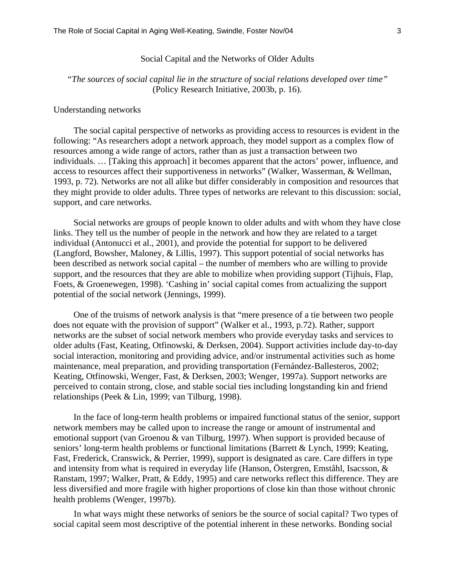#### Social Capital and the Networks of Older Adults

## *"The sources of social capital lie in the structure of social relations developed over time"* (Policy Research Initiative, 2003b, p. 16).

#### Understanding networks

The social capital perspective of networks as providing access to resources is evident in the following: "As researchers adopt a network approach, they model support as a complex flow of resources among a wide range of actors, rather than as just a transaction between two individuals. … [Taking this approach] it becomes apparent that the actors' power, influence, and access to resources affect their supportiveness in networks" (Walker, Wasserman, & Wellman, 1993, p. 72). Networks are not all alike but differ considerably in composition and resources that they might provide to older adults. Three types of networks are relevant to this discussion: social, support, and care networks.

Social networks are groups of people known to older adults and with whom they have close links. They tell us the number of people in the network and how they are related to a target individual (Antonucci et al., 2001), and provide the potential for support to be delivered (Langford, Bowsher, Maloney, & Lillis, 1997). This support potential of social networks has been described as network social capital – the number of members who are willing to provide support, and the resources that they are able to mobilize when providing support (Tijhuis, Flap, Foets, & Groenewegen, 1998). 'Cashing in' social capital comes from actualizing the support potential of the social network (Jennings, 1999).

One of the truisms of network analysis is that "mere presence of a tie between two people does not equate with the provision of support" (Walker et al., 1993, p.72). Rather, support networks are the subset of social network members who provide everyday tasks and services to older adults (Fast, Keating, Otfinowski, & Derksen, 2004). Support activities include day-to-day social interaction, monitoring and providing advice, and/or instrumental activities such as home maintenance, meal preparation, and providing transportation (Fernández-Ballesteros, 2002; Keating, Otfinowski, Wenger, Fast, & Derksen, 2003; Wenger, 1997a). Support networks are perceived to contain strong, close, and stable social ties including longstanding kin and friend relationships (Peek & Lin, 1999; van Tilburg, 1998).

In the face of long-term health problems or impaired functional status of the senior, support network members may be called upon to increase the range or amount of instrumental and emotional support (van Groenou & van Tilburg, 1997). When support is provided because of seniors' long-term health problems or functional limitations (Barrett & Lynch, 1999; Keating, Fast, Frederick, Cranswick, & Perrier, 1999), support is designated as care. Care differs in type and intensity from what is required in everyday life (Hanson, Östergren, Emståhl, Isacsson, & Ranstam, 1997; Walker, Pratt, & Eddy, 1995) and care networks reflect this difference. They are less diversified and more fragile with higher proportions of close kin than those without chronic health problems (Wenger, 1997b).

In what ways might these networks of seniors be the source of social capital? Two types of social capital seem most descriptive of the potential inherent in these networks. Bonding social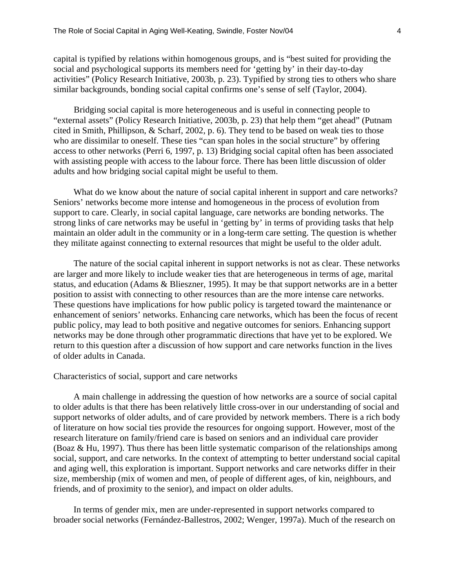capital is typified by relations within homogenous groups, and is "best suited for providing the social and psychological supports its members need for 'getting by' in their day-to-day activities" (Policy Research Initiative, 2003b, p. 23). Typified by strong ties to others who share similar backgrounds, bonding social capital confirms one's sense of self (Taylor, 2004).

Bridging social capital is more heterogeneous and is useful in connecting people to "external assets" (Policy Research Initiative, 2003b, p. 23) that help them "get ahead" (Putnam cited in Smith, Phillipson, & Scharf, 2002, p. 6). They tend to be based on weak ties to those who are dissimilar to oneself. These ties "can span holes in the social structure" by offering access to other networks (Perri 6, 1997, p. 13) Bridging social capital often has been associated with assisting people with access to the labour force. There has been little discussion of older adults and how bridging social capital might be useful to them.

What do we know about the nature of social capital inherent in support and care networks? Seniors' networks become more intense and homogeneous in the process of evolution from support to care. Clearly, in social capital language, care networks are bonding networks. The strong links of care networks may be useful in 'getting by' in terms of providing tasks that help maintain an older adult in the community or in a long-term care setting. The question is whether they militate against connecting to external resources that might be useful to the older adult.

The nature of the social capital inherent in support networks is not as clear. These networks are larger and more likely to include weaker ties that are heterogeneous in terms of age, marital status, and education (Adams & Blieszner, 1995). It may be that support networks are in a better position to assist with connecting to other resources than are the more intense care networks. These questions have implications for how public policy is targeted toward the maintenance or enhancement of seniors' networks. Enhancing care networks, which has been the focus of recent public policy, may lead to both positive and negative outcomes for seniors. Enhancing support networks may be done through other programmatic directions that have yet to be explored. We return to this question after a discussion of how support and care networks function in the lives of older adults in Canada.

#### Characteristics of social, support and care networks

A main challenge in addressing the question of how networks are a source of social capital to older adults is that there has been relatively little cross-over in our understanding of social and support networks of older adults, and of care provided by network members. There is a rich body of literature on how social ties provide the resources for ongoing support. However, most of the research literature on family/friend care is based on seniors and an individual care provider (Boaz & Hu, 1997). Thus there has been little systematic comparison of the relationships among social, support, and care networks. In the context of attempting to better understand social capital and aging well, this exploration is important. Support networks and care networks differ in their size, membership (mix of women and men, of people of different ages, of kin, neighbours, and friends, and of proximity to the senior), and impact on older adults.

In terms of gender mix, men are under-represented in support networks compared to broader social networks (Fernández-Ballestros, 2002; Wenger, 1997a). Much of the research on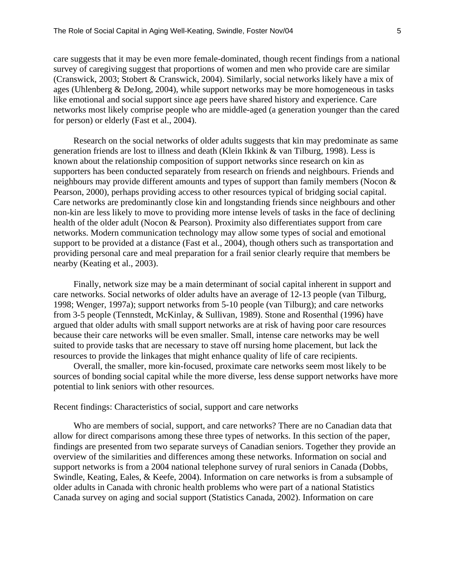care suggests that it may be even more female-dominated, though recent findings from a national survey of caregiving suggest that proportions of women and men who provide care are similar (Cranswick, 2003; Stobert & Cranswick, 2004). Similarly, social networks likely have a mix of ages (Uhlenberg & DeJong, 2004), while support networks may be more homogeneous in tasks like emotional and social support since age peers have shared history and experience. Care networks most likely comprise people who are middle-aged (a generation younger than the cared for person) or elderly (Fast et al., 2004).

Research on the social networks of older adults suggests that kin may predominate as same generation friends are lost to illness and death (Klein Ikkink & van Tilburg, 1998). Less is known about the relationship composition of support networks since research on kin as supporters has been conducted separately from research on friends and neighbours. Friends and neighbours may provide different amounts and types of support than family members (Nocon & Pearson, 2000), perhaps providing access to other resources typical of bridging social capital. Care networks are predominantly close kin and longstanding friends since neighbours and other non-kin are less likely to move to providing more intense levels of tasks in the face of declining health of the older adult (Nocon & Pearson). Proximity also differentiates support from care networks. Modern communication technology may allow some types of social and emotional support to be provided at a distance (Fast et al., 2004), though others such as transportation and providing personal care and meal preparation for a frail senior clearly require that members be nearby (Keating et al., 2003).

Finally, network size may be a main determinant of social capital inherent in support and care networks. Social networks of older adults have an average of 12-13 people (van Tilburg, 1998; Wenger, 1997a); support networks from 5-10 people (van Tilburg); and care networks from 3-5 people (Tennstedt, McKinlay, & Sullivan, 1989). Stone and Rosenthal (1996) have argued that older adults with small support networks are at risk of having poor care resources because their care networks will be even smaller. Small, intense care networks may be well suited to provide tasks that are necessary to stave off nursing home placement, but lack the resources to provide the linkages that might enhance quality of life of care recipients.

Overall, the smaller, more kin-focused, proximate care networks seem most likely to be sources of bonding social capital while the more diverse, less dense support networks have more potential to link seniors with other resources.

## Recent findings: Characteristics of social, support and care networks

Who are members of social, support, and care networks? There are no Canadian data that allow for direct comparisons among these three types of networks. In this section of the paper, findings are presented from two separate surveys of Canadian seniors. Together they provide an overview of the similarities and differences among these networks. Information on social and support networks is from a 2004 national telephone survey of rural seniors in Canada (Dobbs, Swindle, Keating, Eales, & Keefe, 2004). Information on care networks is from a subsample of older adults in Canada with chronic health problems who were part of a national Statistics Canada survey on aging and social support (Statistics Canada, 2002). Information on care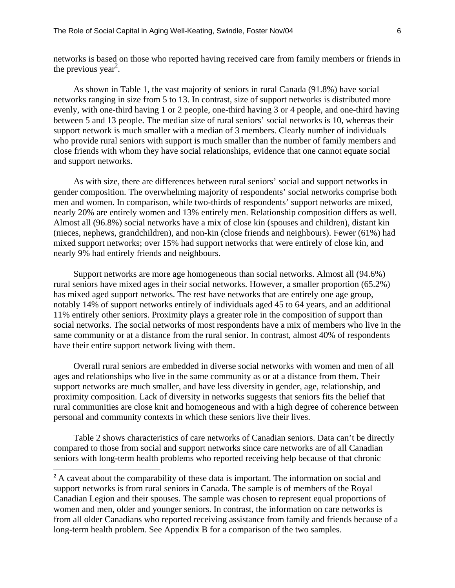networks is based on those who reported having received care from family members or friends in the previous year<sup>2</sup>.

As shown in Table 1, the vast majority of seniors in rural Canada (91.8%) have social networks ranging in size from 5 to 13. In contrast, size of support networks is distributed more evenly, with one-third having 1 or 2 people, one-third having 3 or 4 people, and one-third having between 5 and 13 people. The median size of rural seniors' social networks is 10, whereas their support network is much smaller with a median of 3 members. Clearly number of individuals who provide rural seniors with support is much smaller than the number of family members and close friends with whom they have social relationships, evidence that one cannot equate social and support networks.

As with size, there are differences between rural seniors' social and support networks in gender composition. The overwhelming majority of respondents' social networks comprise both men and women. In comparison, while two-thirds of respondents' support networks are mixed, nearly 20% are entirely women and 13% entirely men. Relationship composition differs as well. Almost all (96.8%) social networks have a mix of close kin (spouses and children), distant kin (nieces, nephews, grandchildren), and non-kin (close friends and neighbours). Fewer (61%) had mixed support networks; over 15% had support networks that were entirely of close kin, and nearly 9% had entirely friends and neighbours.

Support networks are more age homogeneous than social networks. Almost all (94.6%) rural seniors have mixed ages in their social networks. However, a smaller proportion (65.2%) has mixed aged support networks. The rest have networks that are entirely one age group, notably 14% of support networks entirely of individuals aged 45 to 64 years, and an additional 11% entirely other seniors. Proximity plays a greater role in the composition of support than social networks. The social networks of most respondents have a mix of members who live in the same community or at a distance from the rural senior. In contrast, almost 40% of respondents have their entire support network living with them.

Overall rural seniors are embedded in diverse social networks with women and men of all ages and relationships who live in the same community as or at a distance from them. Their support networks are much smaller, and have less diversity in gender, age, relationship, and proximity composition. Lack of diversity in networks suggests that seniors fits the belief that rural communities are close knit and homogeneous and with a high degree of coherence between personal and community contexts in which these seniors live their lives.

Table 2 shows characteristics of care networks of Canadian seniors. Data can't be directly compared to those from social and support networks since care networks are of all Canadian seniors with long-term health problems who reported receiving help because of that chronic

l

<sup>&</sup>lt;sup>2</sup> A caveat about the comparability of these data is important. The information on social and support networks is from rural seniors in Canada. The sample is of members of the Royal Canadian Legion and their spouses. The sample was chosen to represent equal proportions of women and men, older and younger seniors. In contrast, the information on care networks is from all older Canadians who reported receiving assistance from family and friends because of a long-term health problem. See Appendix B for a comparison of the two samples.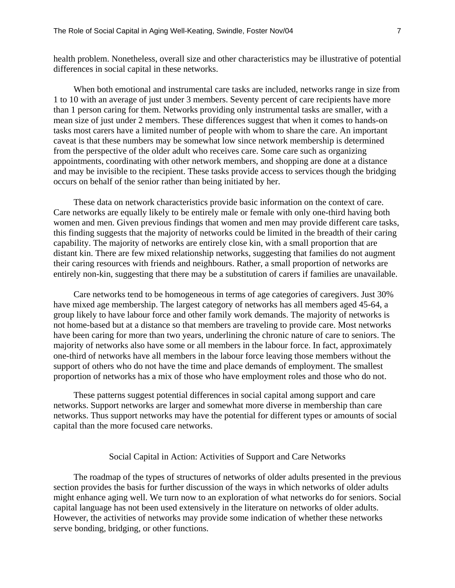health problem. Nonetheless, overall size and other characteristics may be illustrative of potential differences in social capital in these networks.

When both emotional and instrumental care tasks are included, networks range in size from 1 to 10 with an average of just under 3 members. Seventy percent of care recipients have more than 1 person caring for them. Networks providing only instrumental tasks are smaller, with a mean size of just under 2 members. These differences suggest that when it comes to hands-on tasks most carers have a limited number of people with whom to share the care. An important caveat is that these numbers may be somewhat low since network membership is determined from the perspective of the older adult who receives care. Some care such as organizing appointments, coordinating with other network members, and shopping are done at a distance and may be invisible to the recipient. These tasks provide access to services though the bridging occurs on behalf of the senior rather than being initiated by her.

These data on network characteristics provide basic information on the context of care. Care networks are equally likely to be entirely male or female with only one-third having both women and men. Given previous findings that women and men may provide different care tasks, this finding suggests that the majority of networks could be limited in the breadth of their caring capability. The majority of networks are entirely close kin, with a small proportion that are distant kin. There are few mixed relationship networks, suggesting that families do not augment their caring resources with friends and neighbours. Rather, a small proportion of networks are entirely non-kin, suggesting that there may be a substitution of carers if families are unavailable.

Care networks tend to be homogeneous in terms of age categories of caregivers. Just 30% have mixed age membership. The largest category of networks has all members aged 45-64, a group likely to have labour force and other family work demands. The majority of networks is not home-based but at a distance so that members are traveling to provide care. Most networks have been caring for more than two years, underlining the chronic nature of care to seniors. The majority of networks also have some or all members in the labour force. In fact, approximately one-third of networks have all members in the labour force leaving those members without the support of others who do not have the time and place demands of employment. The smallest proportion of networks has a mix of those who have employment roles and those who do not.

These patterns suggest potential differences in social capital among support and care networks. Support networks are larger and somewhat more diverse in membership than care networks. Thus support networks may have the potential for different types or amounts of social capital than the more focused care networks.

#### Social Capital in Action: Activities of Support and Care Networks

The roadmap of the types of structures of networks of older adults presented in the previous section provides the basis for further discussion of the ways in which networks of older adults might enhance aging well. We turn now to an exploration of what networks do for seniors. Social capital language has not been used extensively in the literature on networks of older adults. However, the activities of networks may provide some indication of whether these networks serve bonding, bridging, or other functions.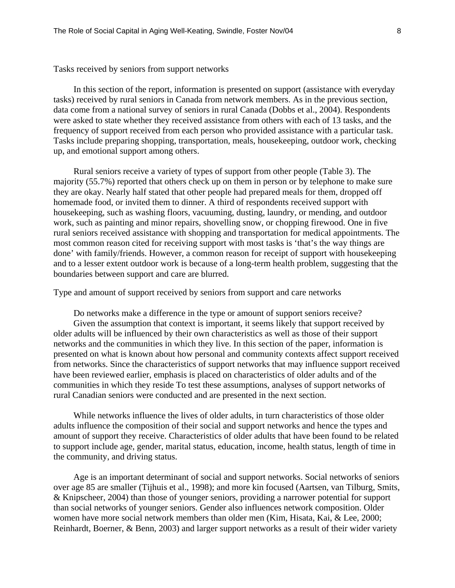Tasks received by seniors from support networks

In this section of the report, information is presented on support (assistance with everyday tasks) received by rural seniors in Canada from network members. As in the previous section, data come from a national survey of seniors in rural Canada (Dobbs et al., 2004). Respondents were asked to state whether they received assistance from others with each of 13 tasks, and the frequency of support received from each person who provided assistance with a particular task. Tasks include preparing shopping, transportation, meals, housekeeping, outdoor work, checking up, and emotional support among others.

Rural seniors receive a variety of types of support from other people (Table 3). The majority (55.7%) reported that others check up on them in person or by telephone to make sure they are okay. Nearly half stated that other people had prepared meals for them, dropped off homemade food, or invited them to dinner. A third of respondents received support with housekeeping, such as washing floors, vacuuming, dusting, laundry, or mending, and outdoor work, such as painting and minor repairs, shovelling snow, or chopping firewood. One in five rural seniors received assistance with shopping and transportation for medical appointments. The most common reason cited for receiving support with most tasks is 'that's the way things are done' with family/friends. However, a common reason for receipt of support with housekeeping and to a lesser extent outdoor work is because of a long-term health problem, suggesting that the boundaries between support and care are blurred.

Type and amount of support received by seniors from support and care networks

Do networks make a difference in the type or amount of support seniors receive? Given the assumption that context is important, it seems likely that support received by older adults will be influenced by their own characteristics as well as those of their support networks and the communities in which they live. In this section of the paper, information is presented on what is known about how personal and community contexts affect support received from networks. Since the characteristics of support networks that may influence support received have been reviewed earlier, emphasis is placed on characteristics of older adults and of the communities in which they reside To test these assumptions, analyses of support networks of rural Canadian seniors were conducted and are presented in the next section.

While networks influence the lives of older adults, in turn characteristics of those older adults influence the composition of their social and support networks and hence the types and amount of support they receive. Characteristics of older adults that have been found to be related to support include age, gender, marital status, education, income, health status, length of time in the community, and driving status.

Age is an important determinant of social and support networks. Social networks of seniors over age 85 are smaller (Tijhuis et al., 1998); and more kin focused (Aartsen, van Tilburg, Smits, & Knipscheer, 2004) than those of younger seniors, providing a narrower potential for support than social networks of younger seniors. Gender also influences network composition. Older women have more social network members than older men (Kim, Hisata, Kai, & Lee, 2000; Reinhardt, Boerner, & Benn, 2003) and larger support networks as a result of their wider variety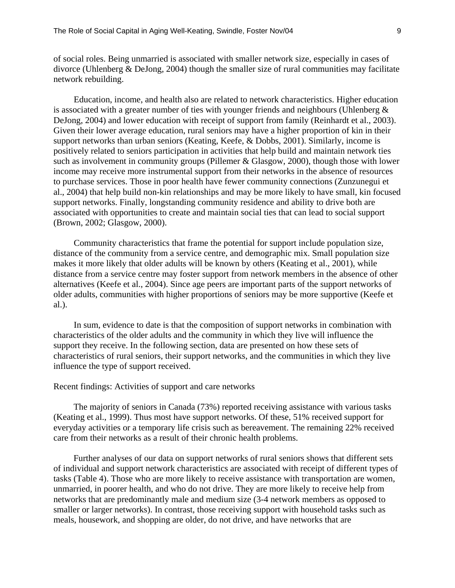of social roles. Being unmarried is associated with smaller network size, especially in cases of divorce (Uhlenberg & DeJong, 2004) though the smaller size of rural communities may facilitate network rebuilding.

Education, income, and health also are related to network characteristics. Higher education is associated with a greater number of ties with younger friends and neighbours (Uhlenberg & DeJong, 2004) and lower education with receipt of support from family (Reinhardt et al., 2003). Given their lower average education, rural seniors may have a higher proportion of kin in their support networks than urban seniors (Keating, Keefe, & Dobbs, 2001). Similarly, income is positively related to seniors participation in activities that help build and maintain network ties such as involvement in community groups (Pillemer & Glasgow, 2000), though those with lower income may receive more instrumental support from their networks in the absence of resources to purchase services. Those in poor health have fewer community connections (Zunzunegui et al., 2004) that help build non-kin relationships and may be more likely to have small, kin focused support networks. Finally, longstanding community residence and ability to drive both are associated with opportunities to create and maintain social ties that can lead to social support (Brown, 2002; Glasgow, 2000).

Community characteristics that frame the potential for support include population size, distance of the community from a service centre, and demographic mix. Small population size makes it more likely that older adults will be known by others (Keating et al., 2001), while distance from a service centre may foster support from network members in the absence of other alternatives (Keefe et al., 2004). Since age peers are important parts of the support networks of older adults, communities with higher proportions of seniors may be more supportive (Keefe et al.).

In sum, evidence to date is that the composition of support networks in combination with characteristics of the older adults and the community in which they live will influence the support they receive. In the following section, data are presented on how these sets of characteristics of rural seniors, their support networks, and the communities in which they live influence the type of support received.

#### Recent findings: Activities of support and care networks

The majority of seniors in Canada (73%) reported receiving assistance with various tasks (Keating et al., 1999). Thus most have support networks. Of these, 51% received support for everyday activities or a temporary life crisis such as bereavement. The remaining 22% received care from their networks as a result of their chronic health problems.

Further analyses of our data on support networks of rural seniors shows that different sets of individual and support network characteristics are associated with receipt of different types of tasks (Table 4). Those who are more likely to receive assistance with transportation are women, unmarried, in poorer health, and who do not drive. They are more likely to receive help from networks that are predominantly male and medium size (3-4 network members as opposed to smaller or larger networks). In contrast, those receiving support with household tasks such as meals, housework, and shopping are older, do not drive, and have networks that are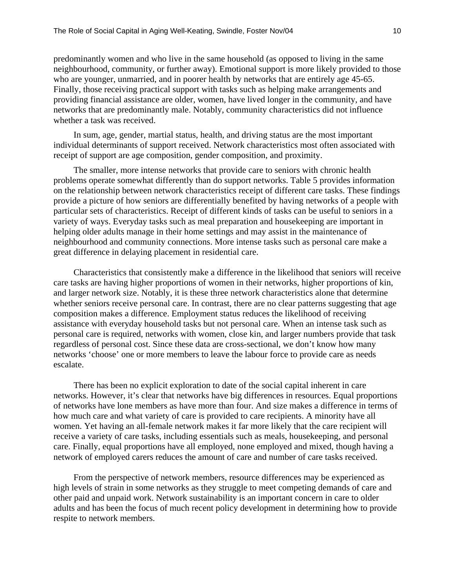predominantly women and who live in the same household (as opposed to living in the same neighbourhood, community, or further away). Emotional support is more likely provided to those who are younger, unmarried, and in poorer health by networks that are entirely age 45-65. Finally, those receiving practical support with tasks such as helping make arrangements and providing financial assistance are older, women, have lived longer in the community, and have networks that are predominantly male. Notably, community characteristics did not influence whether a task was received.

In sum, age, gender, martial status, health, and driving status are the most important individual determinants of support received. Network characteristics most often associated with receipt of support are age composition, gender composition, and proximity.

The smaller, more intense networks that provide care to seniors with chronic health problems operate somewhat differently than do support networks. Table 5 provides information on the relationship between network characteristics receipt of different care tasks. These findings provide a picture of how seniors are differentially benefited by having networks of a people with particular sets of characteristics. Receipt of different kinds of tasks can be useful to seniors in a variety of ways. Everyday tasks such as meal preparation and housekeeping are important in helping older adults manage in their home settings and may assist in the maintenance of neighbourhood and community connections. More intense tasks such as personal care make a great difference in delaying placement in residential care.

Characteristics that consistently make a difference in the likelihood that seniors will receive care tasks are having higher proportions of women in their networks, higher proportions of kin, and larger network size. Notably, it is these three network characteristics alone that determine whether seniors receive personal care. In contrast, there are no clear patterns suggesting that age composition makes a difference. Employment status reduces the likelihood of receiving assistance with everyday household tasks but not personal care. When an intense task such as personal care is required, networks with women, close kin, and larger numbers provide that task regardless of personal cost. Since these data are cross-sectional, we don't know how many networks 'choose' one or more members to leave the labour force to provide care as needs escalate.

There has been no explicit exploration to date of the social capital inherent in care networks. However, it's clear that networks have big differences in resources. Equal proportions of networks have lone members as have more than four. And size makes a difference in terms of how much care and what variety of care is provided to care recipients. A minority have all women. Yet having an all-female network makes it far more likely that the care recipient will receive a variety of care tasks, including essentials such as meals, housekeeping, and personal care. Finally, equal proportions have all employed, none employed and mixed, though having a network of employed carers reduces the amount of care and number of care tasks received.

From the perspective of network members, resource differences may be experienced as high levels of strain in some networks as they struggle to meet competing demands of care and other paid and unpaid work. Network sustainability is an important concern in care to older adults and has been the focus of much recent policy development in determining how to provide respite to network members.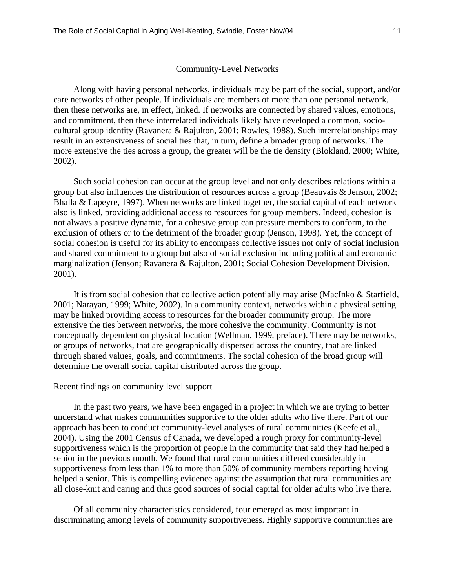#### Community-Level Networks

Along with having personal networks, individuals may be part of the social, support, and/or care networks of other people. If individuals are members of more than one personal network, then these networks are, in effect, linked. If networks are connected by shared values, emotions, and commitment, then these interrelated individuals likely have developed a common, sociocultural group identity (Ravanera & Rajulton, 2001; Rowles, 1988). Such interrelationships may result in an extensiveness of social ties that, in turn, define a broader group of networks. The more extensive the ties across a group, the greater will be the tie density (Blokland, 2000; White, 2002).

Such social cohesion can occur at the group level and not only describes relations within a group but also influences the distribution of resources across a group (Beauvais & Jenson, 2002; Bhalla & Lapeyre, 1997). When networks are linked together, the social capital of each network also is linked, providing additional access to resources for group members. Indeed, cohesion is not always a positive dynamic, for a cohesive group can pressure members to conform, to the exclusion of others or to the detriment of the broader group (Jenson, 1998). Yet, the concept of social cohesion is useful for its ability to encompass collective issues not only of social inclusion and shared commitment to a group but also of social exclusion including political and economic marginalization (Jenson; Ravanera & Rajulton, 2001; Social Cohesion Development Division, 2001).

It is from social cohesion that collective action potentially may arise (MacInko & Starfield, 2001; Narayan, 1999; White, 2002). In a community context, networks within a physical setting may be linked providing access to resources for the broader community group. The more extensive the ties between networks, the more cohesive the community. Community is not conceptually dependent on physical location (Wellman, 1999, preface). There may be networks, or groups of networks, that are geographically dispersed across the country, that are linked through shared values, goals, and commitments. The social cohesion of the broad group will determine the overall social capital distributed across the group.

#### Recent findings on community level support

In the past two years, we have been engaged in a project in which we are trying to better understand what makes communities supportive to the older adults who live there. Part of our approach has been to conduct community-level analyses of rural communities (Keefe et al., 2004). Using the 2001 Census of Canada, we developed a rough proxy for community-level supportiveness which is the proportion of people in the community that said they had helped a senior in the previous month. We found that rural communities differed considerably in supportiveness from less than 1% to more than 50% of community members reporting having helped a senior. This is compelling evidence against the assumption that rural communities are all close-knit and caring and thus good sources of social capital for older adults who live there.

Of all community characteristics considered, four emerged as most important in discriminating among levels of community supportiveness. Highly supportive communities are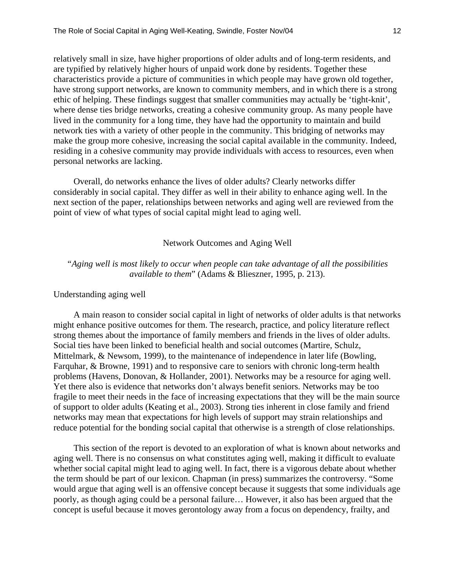relatively small in size, have higher proportions of older adults and of long-term residents, and are typified by relatively higher hours of unpaid work done by residents. Together these characteristics provide a picture of communities in which people may have grown old together, have strong support networks, are known to community members, and in which there is a strong ethic of helping. These findings suggest that smaller communities may actually be 'tight-knit', where dense ties bridge networks, creating a cohesive community group. As many people have lived in the community for a long time, they have had the opportunity to maintain and build network ties with a variety of other people in the community. This bridging of networks may make the group more cohesive, increasing the social capital available in the community. Indeed, residing in a cohesive community may provide individuals with access to resources, even when personal networks are lacking.

Overall, do networks enhance the lives of older adults? Clearly networks differ considerably in social capital. They differ as well in their ability to enhance aging well. In the next section of the paper, relationships between networks and aging well are reviewed from the point of view of what types of social capital might lead to aging well.

#### Network Outcomes and Aging Well

## *"Aging well is most likely to occur when people can take advantage of all the possibilities available to them*" (Adams & Blieszner, 1995, p. 213).

#### Understanding aging well

A main reason to consider social capital in light of networks of older adults is that networks might enhance positive outcomes for them. The research, practice, and policy literature reflect strong themes about the importance of family members and friends in the lives of older adults. Social ties have been linked to beneficial health and social outcomes (Martire, Schulz, Mittelmark, & Newsom, 1999), to the maintenance of independence in later life (Bowling, Farquhar, & Browne, 1991) and to responsive care to seniors with chronic long-term health problems (Havens, Donovan, & Hollander, 2001). Networks may be a resource for aging well. Yet there also is evidence that networks don't always benefit seniors. Networks may be too fragile to meet their needs in the face of increasing expectations that they will be the main source of support to older adults (Keating et al., 2003). Strong ties inherent in close family and friend networks may mean that expectations for high levels of support may strain relationships and reduce potential for the bonding social capital that otherwise is a strength of close relationships.

This section of the report is devoted to an exploration of what is known about networks and aging well. There is no consensus on what constitutes aging well, making it difficult to evaluate whether social capital might lead to aging well. In fact, there is a vigorous debate about whether the term should be part of our lexicon. Chapman (in press) summarizes the controversy. "Some would argue that aging well is an offensive concept because it suggests that some individuals age poorly, as though aging could be a personal failure… However, it also has been argued that the concept is useful because it moves gerontology away from a focus on dependency, frailty, and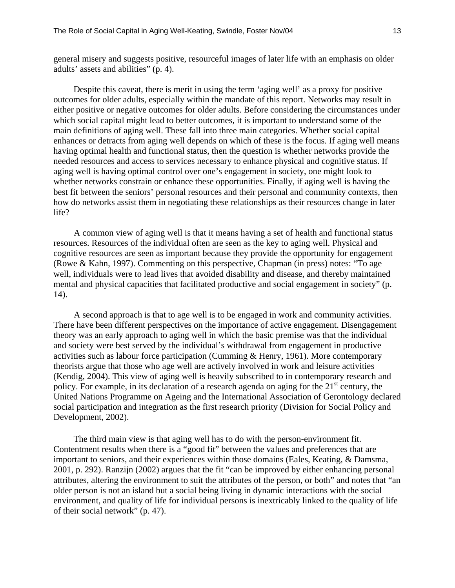general misery and suggests positive, resourceful images of later life with an emphasis on older adults' assets and abilities" (p. 4).

Despite this caveat, there is merit in using the term 'aging well' as a proxy for positive outcomes for older adults, especially within the mandate of this report. Networks may result in either positive or negative outcomes for older adults. Before considering the circumstances under which social capital might lead to better outcomes, it is important to understand some of the main definitions of aging well. These fall into three main categories. Whether social capital enhances or detracts from aging well depends on which of these is the focus. If aging well means having optimal health and functional status, then the question is whether networks provide the needed resources and access to services necessary to enhance physical and cognitive status. If aging well is having optimal control over one's engagement in society, one might look to whether networks constrain or enhance these opportunities. Finally, if aging well is having the best fit between the seniors' personal resources and their personal and community contexts, then how do networks assist them in negotiating these relationships as their resources change in later life?

A common view of aging well is that it means having a set of health and functional status resources. Resources of the individual often are seen as the key to aging well. Physical and cognitive resources are seen as important because they provide the opportunity for engagement (Rowe & Kahn, 1997). Commenting on this perspective, Chapman (in press) notes: "To age well, individuals were to lead lives that avoided disability and disease, and thereby maintained mental and physical capacities that facilitated productive and social engagement in society" (p. 14).

A second approach is that to age well is to be engaged in work and community activities. There have been different perspectives on the importance of active engagement. Disengagement theory was an early approach to aging well in which the basic premise was that the individual and society were best served by the individual's withdrawal from engagement in productive activities such as labour force participation (Cumming & Henry, 1961). More contemporary theorists argue that those who age well are actively involved in work and leisure activities (Kendig, 2004). This view of aging well is heavily subscribed to in contemporary research and policy. For example, in its declaration of a research agenda on aging for the  $21<sup>st</sup>$  century, the United Nations Programme on Ageing and the International Association of Gerontology declared social participation and integration as the first research priority (Division for Social Policy and Development, 2002).

The third main view is that aging well has to do with the person-environment fit. Contentment results when there is a "good fit" between the values and preferences that are important to seniors, and their experiences within those domains (Eales, Keating, & Damsma, 2001, p. 292). Ranzijn (2002) argues that the fit "can be improved by either enhancing personal attributes, altering the environment to suit the attributes of the person, or both" and notes that "an older person is not an island but a social being living in dynamic interactions with the social environment, and quality of life for individual persons is inextricably linked to the quality of life of their social network" (p. 47).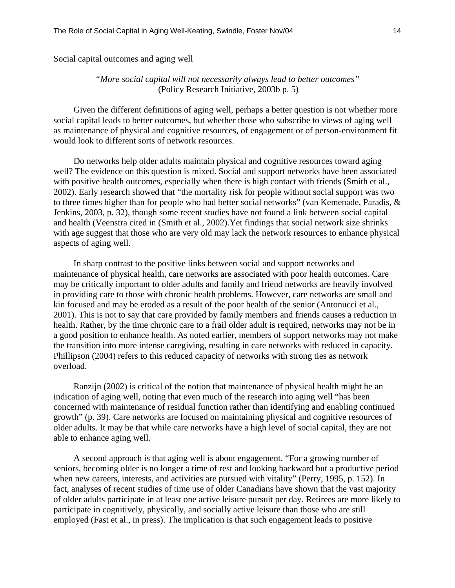Social capital outcomes and aging well

## *"More social capital will not necessarily always lead to better outcomes"*  (Policy Research Initiative, 2003b p. 5)

Given the different definitions of aging well, perhaps a better question is not whether more social capital leads to better outcomes, but whether those who subscribe to views of aging well as maintenance of physical and cognitive resources, of engagement or of person-environment fit would look to different sorts of network resources.

Do networks help older adults maintain physical and cognitive resources toward aging well? The evidence on this question is mixed. Social and support networks have been associated with positive health outcomes, especially when there is high contact with friends (Smith et al., 2002). Early research showed that "the mortality risk for people without social support was two to three times higher than for people who had better social networks" (van Kemenade, Paradis, & Jenkins, 2003, p. 32), though some recent studies have not found a link between social capital and health (Veenstra cited in (Smith et al., 2002).Yet findings that social network size shrinks with age suggest that those who are very old may lack the network resources to enhance physical aspects of aging well.

In sharp contrast to the positive links between social and support networks and maintenance of physical health, care networks are associated with poor health outcomes. Care may be critically important to older adults and family and friend networks are heavily involved in providing care to those with chronic health problems. However, care networks are small and kin focused and may be eroded as a result of the poor health of the senior (Antonucci et al., 2001). This is not to say that care provided by family members and friends causes a reduction in health. Rather, by the time chronic care to a frail older adult is required, networks may not be in a good position to enhance health. As noted earlier, members of support networks may not make the transition into more intense caregiving, resulting in care networks with reduced in capacity. Phillipson (2004) refers to this reduced capacity of networks with strong ties as network overload.

Ranzijn (2002) is critical of the notion that maintenance of physical health might be an indication of aging well, noting that even much of the research into aging well "has been concerned with maintenance of residual function rather than identifying and enabling continued growth" (p. 39). Care networks are focused on maintaining physical and cognitive resources of older adults. It may be that while care networks have a high level of social capital, they are not able to enhance aging well.

A second approach is that aging well is about engagement. "For a growing number of seniors, becoming older is no longer a time of rest and looking backward but a productive period when new careers, interests, and activities are pursued with vitality" (Perry, 1995, p. 152). In fact, analyses of recent studies of time use of older Canadians have shown that the vast majority of older adults participate in at least one active leisure pursuit per day. Retirees are more likely to participate in cognitively, physically, and socially active leisure than those who are still employed (Fast et al., in press). The implication is that such engagement leads to positive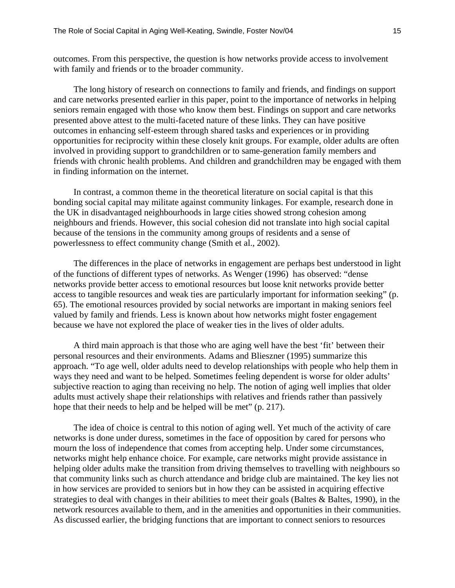outcomes. From this perspective, the question is how networks provide access to involvement with family and friends or to the broader community.

The long history of research on connections to family and friends, and findings on support and care networks presented earlier in this paper, point to the importance of networks in helping seniors remain engaged with those who know them best. Findings on support and care networks presented above attest to the multi-faceted nature of these links. They can have positive outcomes in enhancing self-esteem through shared tasks and experiences or in providing opportunities for reciprocity within these closely knit groups. For example, older adults are often involved in providing support to grandchildren or to same-generation family members and friends with chronic health problems. And children and grandchildren may be engaged with them in finding information on the internet.

In contrast, a common theme in the theoretical literature on social capital is that this bonding social capital may militate against community linkages. For example, research done in the UK in disadvantaged neighbourhoods in large cities showed strong cohesion among neighbours and friends. However, this social cohesion did not translate into high social capital because of the tensions in the community among groups of residents and a sense of powerlessness to effect community change (Smith et al., 2002).

The differences in the place of networks in engagement are perhaps best understood in light of the functions of different types of networks. As Wenger (1996) has observed: "dense networks provide better access to emotional resources but loose knit networks provide better access to tangible resources and weak ties are particularly important for information seeking" (p. 65). The emotional resources provided by social networks are important in making seniors feel valued by family and friends. Less is known about how networks might foster engagement because we have not explored the place of weaker ties in the lives of older adults.

A third main approach is that those who are aging well have the best 'fit' between their personal resources and their environments. Adams and Blieszner (1995) summarize this approach. "To age well, older adults need to develop relationships with people who help them in ways they need and want to be helped. Sometimes feeling dependent is worse for older adults' subjective reaction to aging than receiving no help. The notion of aging well implies that older adults must actively shape their relationships with relatives and friends rather than passively hope that their needs to help and be helped will be met" (p. 217).

The idea of choice is central to this notion of aging well. Yet much of the activity of care networks is done under duress, sometimes in the face of opposition by cared for persons who mourn the loss of independence that comes from accepting help. Under some circumstances, networks might help enhance choice. For example, care networks might provide assistance in helping older adults make the transition from driving themselves to travelling with neighbours so that community links such as church attendance and bridge club are maintained. The key lies not in how services are provided to seniors but in how they can be assisted in acquiring effective strategies to deal with changes in their abilities to meet their goals (Baltes & Baltes, 1990), in the network resources available to them, and in the amenities and opportunities in their communities. As discussed earlier, the bridging functions that are important to connect seniors to resources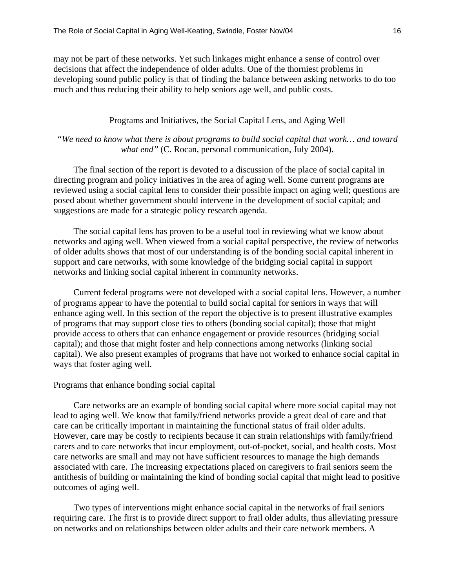may not be part of these networks. Yet such linkages might enhance a sense of control over decisions that affect the independence of older adults. One of the thorniest problems in developing sound public policy is that of finding the balance between asking networks to do too much and thus reducing their ability to help seniors age well, and public costs.

### Programs and Initiatives, the Social Capital Lens, and Aging Well

## *"We need to know what there is about programs to build social capital that work… and toward what end"* (C. Rocan, personal communication, July 2004).

The final section of the report is devoted to a discussion of the place of social capital in directing program and policy initiatives in the area of aging well. Some current programs are reviewed using a social capital lens to consider their possible impact on aging well; questions are posed about whether government should intervene in the development of social capital; and suggestions are made for a strategic policy research agenda.

The social capital lens has proven to be a useful tool in reviewing what we know about networks and aging well. When viewed from a social capital perspective, the review of networks of older adults shows that most of our understanding is of the bonding social capital inherent in support and care networks, with some knowledge of the bridging social capital in support networks and linking social capital inherent in community networks.

Current federal programs were not developed with a social capital lens. However, a number of programs appear to have the potential to build social capital for seniors in ways that will enhance aging well. In this section of the report the objective is to present illustrative examples of programs that may support close ties to others (bonding social capital); those that might provide access to others that can enhance engagement or provide resources (bridging social capital); and those that might foster and help connections among networks (linking social capital). We also present examples of programs that have not worked to enhance social capital in ways that foster aging well.

#### Programs that enhance bonding social capital

Care networks are an example of bonding social capital where more social capital may not lead to aging well. We know that family/friend networks provide a great deal of care and that care can be critically important in maintaining the functional status of frail older adults. However, care may be costly to recipients because it can strain relationships with family/friend carers and to care networks that incur employment, out-of-pocket, social, and health costs. Most care networks are small and may not have sufficient resources to manage the high demands associated with care. The increasing expectations placed on caregivers to frail seniors seem the antithesis of building or maintaining the kind of bonding social capital that might lead to positive outcomes of aging well.

Two types of interventions might enhance social capital in the networks of frail seniors requiring care. The first is to provide direct support to frail older adults, thus alleviating pressure on networks and on relationships between older adults and their care network members. A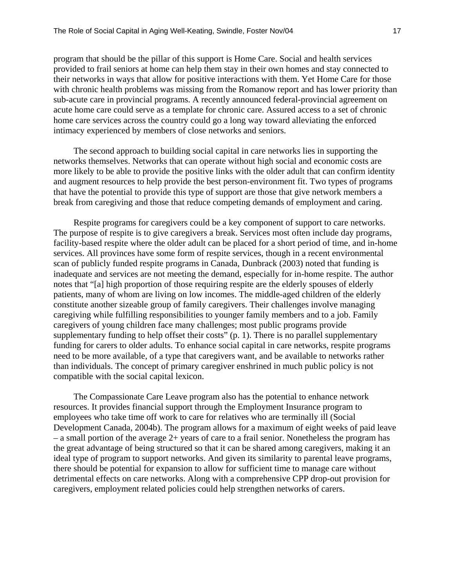program that should be the pillar of this support is Home Care. Social and health services provided to frail seniors at home can help them stay in their own homes and stay connected to their networks in ways that allow for positive interactions with them. Yet Home Care for those with chronic health problems was missing from the Romanow report and has lower priority than sub-acute care in provincial programs. A recently announced federal-provincial agreement on acute home care could serve as a template for chronic care. Assured access to a set of chronic home care services across the country could go a long way toward alleviating the enforced intimacy experienced by members of close networks and seniors.

The second approach to building social capital in care networks lies in supporting the networks themselves. Networks that can operate without high social and economic costs are more likely to be able to provide the positive links with the older adult that can confirm identity and augment resources to help provide the best person-environment fit. Two types of programs that have the potential to provide this type of support are those that give network members a break from caregiving and those that reduce competing demands of employment and caring.

Respite programs for caregivers could be a key component of support to care networks. The purpose of respite is to give caregivers a break. Services most often include day programs, facility-based respite where the older adult can be placed for a short period of time, and in-home services. All provinces have some form of respite services, though in a recent environmental scan of publicly funded respite programs in Canada, Dunbrack (2003) noted that funding is inadequate and services are not meeting the demand, especially for in-home respite. The author notes that "[a] high proportion of those requiring respite are the elderly spouses of elderly patients, many of whom are living on low incomes. The middle-aged children of the elderly constitute another sizeable group of family caregivers. Their challenges involve managing caregiving while fulfilling responsibilities to younger family members and to a job. Family caregivers of young children face many challenges; most public programs provide supplementary funding to help offset their costs" (p. 1). There is no parallel supplementary funding for carers to older adults. To enhance social capital in care networks, respite programs need to be more available, of a type that caregivers want, and be available to networks rather than individuals. The concept of primary caregiver enshrined in much public policy is not compatible with the social capital lexicon.

The Compassionate Care Leave program also has the potential to enhance network resources. It provides financial support through the Employment Insurance program to employees who take time off work to care for relatives who are terminally ill (Social Development Canada, 2004b). The program allows for a maximum of eight weeks of paid leave – a small portion of the average 2+ years of care to a frail senior. Nonetheless the program has the great advantage of being structured so that it can be shared among caregivers, making it an ideal type of program to support networks. And given its similarity to parental leave programs, there should be potential for expansion to allow for sufficient time to manage care without detrimental effects on care networks. Along with a comprehensive CPP drop-out provision for caregivers, employment related policies could help strengthen networks of carers.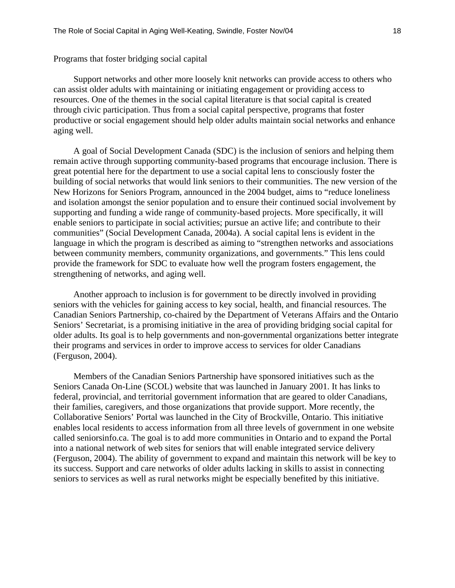Programs that foster bridging social capital

Support networks and other more loosely knit networks can provide access to others who can assist older adults with maintaining or initiating engagement or providing access to resources. One of the themes in the social capital literature is that social capital is created through civic participation. Thus from a social capital perspective, programs that foster productive or social engagement should help older adults maintain social networks and enhance aging well.

A goal of Social Development Canada (SDC) is the inclusion of seniors and helping them remain active through supporting community-based programs that encourage inclusion. There is great potential here for the department to use a social capital lens to consciously foster the building of social networks that would link seniors to their communities. The new version of the New Horizons for Seniors Program, announced in the 2004 budget, aims to "reduce loneliness and isolation amongst the senior population and to ensure their continued social involvement by supporting and funding a wide range of community-based projects. More specifically, it will enable seniors to participate in social activities; pursue an active life; and contribute to their communities" (Social Development Canada, 2004a). A social capital lens is evident in the language in which the program is described as aiming to "strengthen networks and associations between community members, community organizations, and governments." This lens could provide the framework for SDC to evaluate how well the program fosters engagement, the strengthening of networks, and aging well.

Another approach to inclusion is for government to be directly involved in providing seniors with the vehicles for gaining access to key social, health, and financial resources. The Canadian Seniors Partnership, co-chaired by the Department of Veterans Affairs and the Ontario Seniors' Secretariat, is a promising initiative in the area of providing bridging social capital for older adults. Its goal is to help governments and non-governmental organizations better integrate their programs and services in order to improve access to services for older Canadians (Ferguson, 2004).

Members of the Canadian Seniors Partnership have sponsored initiatives such as the Seniors Canada On-Line (SCOL) website that was launched in January 2001. It has links to federal, provincial, and territorial government information that are geared to older Canadians, their families, caregivers, and those organizations that provide support. More recently, the Collaborative Seniors' Portal was launched in the City of Brockville, Ontario. This initiative enables local residents to access information from all three levels of government in one website called seniorsinfo.ca. The goal is to add more communities in Ontario and to expand the Portal into a national network of web sites for seniors that will enable integrated service delivery (Ferguson, 2004). The ability of government to expand and maintain this network will be key to its success. Support and care networks of older adults lacking in skills to assist in connecting seniors to services as well as rural networks might be especially benefited by this initiative.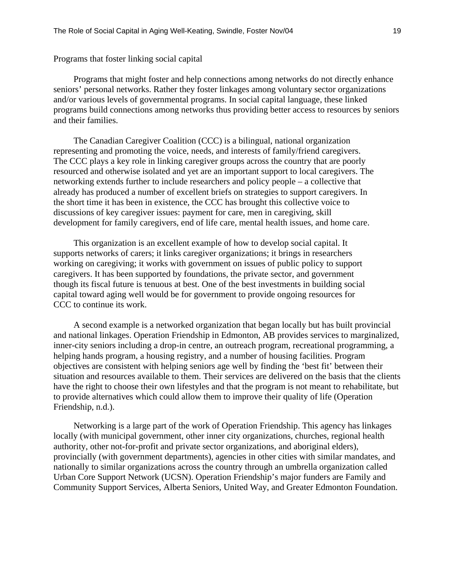Programs that foster linking social capital

Programs that might foster and help connections among networks do not directly enhance seniors' personal networks. Rather they foster linkages among voluntary sector organizations and/or various levels of governmental programs. In social capital language, these linked programs build connections among networks thus providing better access to resources by seniors and their families.

The Canadian Caregiver Coalition (CCC) is a bilingual, national organization representing and promoting the voice, needs, and interests of family/friend caregivers. The CCC plays a key role in linking caregiver groups across the country that are poorly resourced and otherwise isolated and yet are an important support to local caregivers. The networking extends further to include researchers and policy people – a collective that already has produced a number of excellent briefs on strategies to support caregivers. In the short time it has been in existence, the CCC has brought this collective voice to discussions of key caregiver issues: payment for care, men in caregiving, skill development for family caregivers, end of life care, mental health issues, and home care.

This organization is an excellent example of how to develop social capital. It supports networks of carers; it links caregiver organizations; it brings in researchers working on caregiving; it works with government on issues of public policy to support caregivers. It has been supported by foundations, the private sector, and government though its fiscal future is tenuous at best. One of the best investments in building social capital toward aging well would be for government to provide ongoing resources for CCC to continue its work.

A second example is a networked organization that began locally but has built provincial and national linkages. Operation Friendship in Edmonton, AB provides services to marginalized, inner-city seniors including a drop-in centre, an outreach program, recreational programming, a helping hands program, a housing registry, and a number of housing facilities. Program objectives are consistent with helping seniors age well by finding the 'best fit' between their situation and resources available to them. Their services are delivered on the basis that the clients have the right to choose their own lifestyles and that the program is not meant to rehabilitate, but to provide alternatives which could allow them to improve their quality of life (Operation Friendship, n.d.).

Networking is a large part of the work of Operation Friendship. This agency has linkages locally (with municipal government, other inner city organizations, churches, regional health authority, other not-for-profit and private sector organizations, and aboriginal elders), provincially (with government departments), agencies in other cities with similar mandates, and nationally to similar organizations across the country through an umbrella organization called Urban Core Support Network (UCSN). Operation Friendship's major funders are Family and Community Support Services, Alberta Seniors, United Way, and Greater Edmonton Foundation.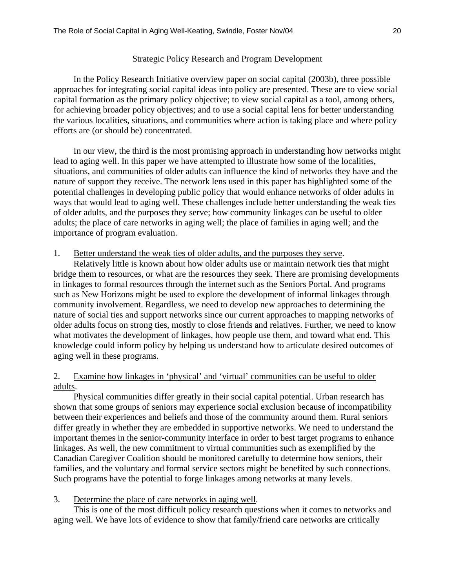## Strategic Policy Research and Program Development

In the Policy Research Initiative overview paper on social capital (2003b), three possible approaches for integrating social capital ideas into policy are presented. These are to view social capital formation as the primary policy objective; to view social capital as a tool, among others, for achieving broader policy objectives; and to use a social capital lens for better understanding the various localities, situations, and communities where action is taking place and where policy efforts are (or should be) concentrated.

In our view, the third is the most promising approach in understanding how networks might lead to aging well. In this paper we have attempted to illustrate how some of the localities, situations, and communities of older adults can influence the kind of networks they have and the nature of support they receive. The network lens used in this paper has highlighted some of the potential challenges in developing public policy that would enhance networks of older adults in ways that would lead to aging well. These challenges include better understanding the weak ties of older adults, and the purposes they serve; how community linkages can be useful to older adults; the place of care networks in aging well; the place of families in aging well; and the importance of program evaluation.

### 1. Better understand the weak ties of older adults, and the purposes they serve.

Relatively little is known about how older adults use or maintain network ties that might bridge them to resources, or what are the resources they seek. There are promising developments in linkages to formal resources through the internet such as the Seniors Portal. And programs such as New Horizons might be used to explore the development of informal linkages through community involvement. Regardless, we need to develop new approaches to determining the nature of social ties and support networks since our current approaches to mapping networks of older adults focus on strong ties, mostly to close friends and relatives. Further, we need to know what motivates the development of linkages, how people use them, and toward what end. This knowledge could inform policy by helping us understand how to articulate desired outcomes of aging well in these programs.

## 2. Examine how linkages in 'physical' and 'virtual' communities can be useful to older adults.

Physical communities differ greatly in their social capital potential. Urban research has shown that some groups of seniors may experience social exclusion because of incompatibility between their experiences and beliefs and those of the community around them. Rural seniors differ greatly in whether they are embedded in supportive networks. We need to understand the important themes in the senior-community interface in order to best target programs to enhance linkages. As well, the new commitment to virtual communities such as exemplified by the Canadian Caregiver Coalition should be monitored carefully to determine how seniors, their families, and the voluntary and formal service sectors might be benefited by such connections. Such programs have the potential to forge linkages among networks at many levels.

#### 3. Determine the place of care networks in aging well.

This is one of the most difficult policy research questions when it comes to networks and aging well. We have lots of evidence to show that family/friend care networks are critically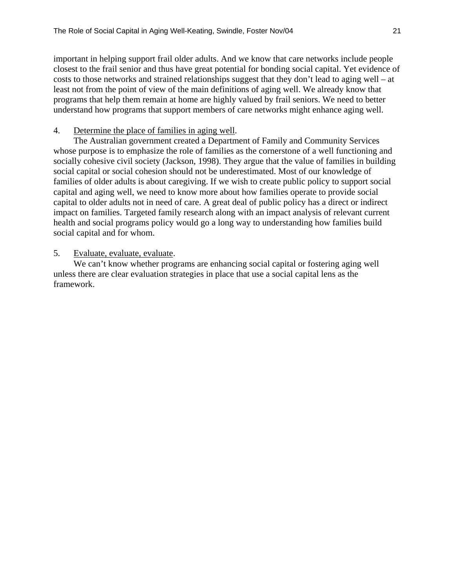important in helping support frail older adults. And we know that care networks include people closest to the frail senior and thus have great potential for bonding social capital. Yet evidence of costs to those networks and strained relationships suggest that they don't lead to aging well – at least not from the point of view of the main definitions of aging well. We already know that programs that help them remain at home are highly valued by frail seniors. We need to better understand how programs that support members of care networks might enhance aging well.

## 4. Determine the place of families in aging well.

The Australian government created a Department of Family and Community Services whose purpose is to emphasize the role of families as the cornerstone of a well functioning and socially cohesive civil society (Jackson, 1998). They argue that the value of families in building social capital or social cohesion should not be underestimated. Most of our knowledge of families of older adults is about caregiving. If we wish to create public policy to support social capital and aging well, we need to know more about how families operate to provide social capital to older adults not in need of care. A great deal of public policy has a direct or indirect impact on families. Targeted family research along with an impact analysis of relevant current health and social programs policy would go a long way to understanding how families build social capital and for whom.

## 5. Evaluate, evaluate, evaluate.

We can't know whether programs are enhancing social capital or fostering aging well unless there are clear evaluation strategies in place that use a social capital lens as the framework.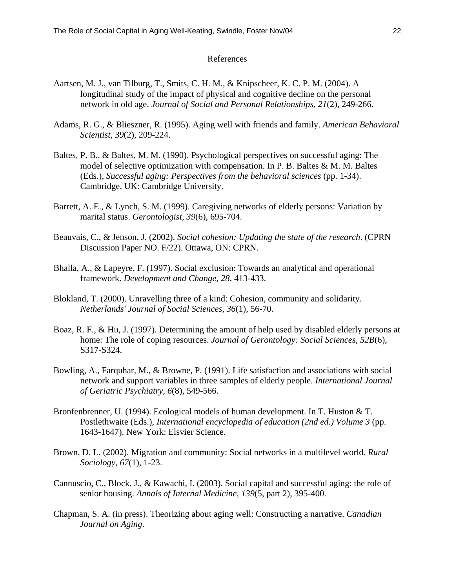#### References

- Aartsen, M. J., van Tilburg, T., Smits, C. H. M., & Knipscheer, K. C. P. M. (2004). A longitudinal study of the impact of physical and cognitive decline on the personal network in old age. *Journal of Social and Personal Relationships, 21*(2), 249-266.
- Adams, R. G., & Blieszner, R. (1995). Aging well with friends and family. *American Behavioral Scientist, 39*(2), 209-224.
- Baltes, P. B., & Baltes, M. M. (1990). Psychological perspectives on successful aging: The model of selective optimization with compensation. In P. B. Baltes & M. M. Baltes (Eds.), *Successful aging: Perspectives from the behavioral sciences* (pp. 1-34). Cambridge, UK: Cambridge University.
- Barrett, A. E., & Lynch, S. M. (1999). Caregiving networks of elderly persons: Variation by marital status. *Gerontologist, 39*(6), 695-704.
- Beauvais, C., & Jenson, J. (2002). *Social cohesion: Updating the state of the research*. (CPRN Discussion Paper NO. F/22). Ottawa, ON: CPRN.
- Bhalla, A., & Lapeyre, F. (1997). Social exclusion: Towards an analytical and operational framework. *Development and Change, 28*, 413-433.
- Blokland, T. (2000). Unravelling three of a kind: Cohesion, community and solidarity. *Netherlands' Journal of Social Sciences, 36*(1), 56-70.
- Boaz, R. F., & Hu, J. (1997). Determining the amount of help used by disabled elderly persons at home: The role of coping resources. *Journal of Gerontology: Social Sciences, 52B*(6), S317-S324.
- Bowling, A., Farquhar, M., & Browne, P. (1991). Life satisfaction and associations with social network and support variables in three samples of elderly people. *International Journal of Geriatric Psychiatry, 6*(8), 549-566.
- Bronfenbrenner, U. (1994). Ecological models of human development. In T. Huston & T. Postlethwaite (Eds.), *International encyclopedia of education (2nd ed.) Volume 3* (pp. 1643-1647). New York: Elsvier Science.
- Brown, D. L. (2002). Migration and community: Social networks in a multilevel world. *Rural Sociology, 67*(1), 1-23.
- Cannuscio, C., Block, J., & Kawachi, I. (2003). Social capital and successful aging: the role of senior housing. *Annals of Internal Medicine, 139*(5, part 2), 395-400.
- Chapman, S. A. (in press). Theorizing about aging well: Constructing a narrative. *Canadian Journal on Aging*.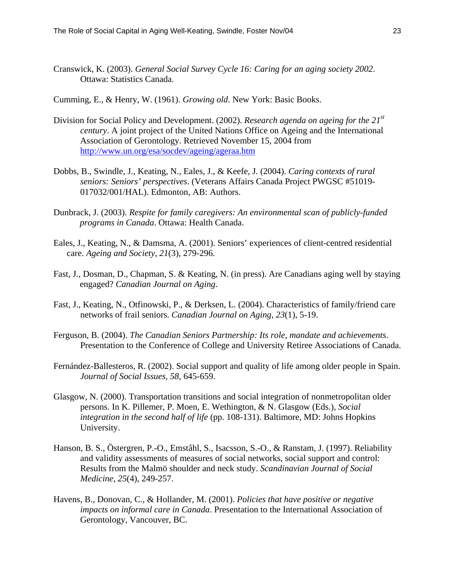Cranswick, K. (2003). *General Social Survey Cycle 16: Caring for an aging society 2002*. Ottawa: Statistics Canada.

Cumming, E., & Henry, W. (1961). *Growing old*. New York: Basic Books.

- Division for Social Policy and Development. (2002). *Research agenda on ageing for the 21st century*. A joint project of the United Nations Office on Ageing and the International Association of Gerontology. Retrieved November 15, 2004 from http://www.un.org/esa/socdev/ageing/ageraa.htm
- Dobbs, B., Swindle, J., Keating, N., Eales, J., & Keefe, J. (2004). *Caring contexts of rural seniors: Seniors' perspectives*. (Veterans Affairs Canada Project PWGSC #51019- 017032/001/HAL). Edmonton, AB: Authors.
- Dunbrack, J. (2003). *Respite for family caregivers: An environmental scan of publicly-funded programs in Canada*. Ottawa: Health Canada.
- Eales, J., Keating, N., & Damsma, A. (2001). Seniors' experiences of client-centred residential care. *Ageing and Society, 21*(3), 279-296.
- Fast, J., Dosman, D., Chapman, S. & Keating, N. (in press). Are Canadians aging well by staying engaged? *Canadian Journal on Aging*.
- Fast, J., Keating, N., Otfinowski, P., & Derksen, L. (2004). Characteristics of family/friend care networks of frail seniors. *Canadian Journal on Aging, 23*(1), 5-19.
- Ferguson, B. (2004). *The Canadian Seniors Partnership: Its role, mandate and achievements*. Presentation to the Conference of College and University Retiree Associations of Canada.
- Fernández-Ballesteros, R. (2002). Social support and quality of life among older people in Spain. *Journal of Social Issues, 58*, 645-659.
- Glasgow, N. (2000). Transportation transitions and social integration of nonmetropolitan older persons. In K. Pillemer, P. Moen, E. Wethington, & N. Glasgow (Eds.), *Social integration in the second half of life* (pp. 108-131). Baltimore, MD: Johns Hopkins University.
- Hanson, B. S., Östergren, P.-O., Emståhl, S., Isacsson, S.-O., & Ranstam, J. (1997). Reliability and validity assessments of measures of social networks, social support and control: Results from the Malmö shoulder and neck study. *Scandinavian Journal of Social Medicine, 25*(4), 249-257.
- Havens, B., Donovan, C., & Hollander, M. (2001). *Policies that have positive or negative impacts on informal care in Canada*. Presentation to the International Association of Gerontology, Vancouver, BC.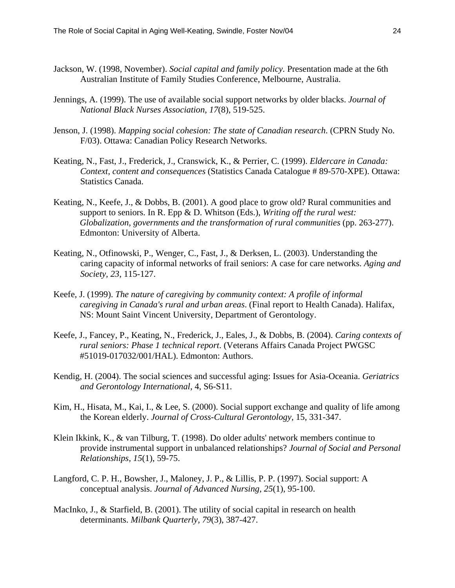- Jackson, W. (1998, November). *Social capital and family policy.* Presentation made at the 6th Australian Institute of Family Studies Conference, Melbourne, Australia.
- Jennings, A. (1999). The use of available social support networks by older blacks. *Journal of National Black Nurses Association, 17*(8), 519-525.
- Jenson, J. (1998). *Mapping social cohesion: The state of Canadian research*. (CPRN Study No. F/03). Ottawa: Canadian Policy Research Networks.
- Keating, N., Fast, J., Frederick, J., Cranswick, K., & Perrier, C. (1999). *Eldercare in Canada: Context, content and consequences* (Statistics Canada Catalogue # 89-570-XPE). Ottawa: Statistics Canada.
- Keating, N., Keefe, J., & Dobbs, B. (2001). A good place to grow old? Rural communities and support to seniors. In R. Epp & D. Whitson (Eds.), *Writing off the rural west: Globalization, governments and the transformation of rural communities* (pp. 263-277). Edmonton: University of Alberta.
- Keating, N., Otfinowski, P., Wenger, C., Fast, J., & Derksen, L. (2003). Understanding the caring capacity of informal networks of frail seniors: A case for care networks. *Aging and Society, 23*, 115-127.
- Keefe, J. (1999). *The nature of caregiving by community context: A profile of informal caregiving in Canada's rural and urban areas*. (Final report to Health Canada). Halifax, NS: Mount Saint Vincent University, Department of Gerontology.
- Keefe, J., Fancey, P., Keating, N., Frederick, J., Eales, J., & Dobbs, B. (2004). *Caring contexts of rural seniors: Phase 1 technical report*. (Veterans Affairs Canada Project PWGSC #51019-017032/001/HAL). Edmonton: Authors.
- Kendig, H. (2004). The social sciences and successful aging: Issues for Asia-Oceania. *Geriatrics and Gerontology International*, 4, S6-S11.
- Kim, H., Hisata, M., Kai, I., & Lee, S. (2000). Social support exchange and quality of life among the Korean elderly. *Journal of Cross-Cultural Gerontology,* 15, 331-347.
- Klein Ikkink, K., & van Tilburg, T. (1998). Do older adults' network members continue to provide instrumental support in unbalanced relationships? *Journal of Social and Personal Relationships, 15*(1), 59-75.
- Langford, C. P. H., Bowsher, J., Maloney, J. P., & Lillis, P. P. (1997). Social support: A conceptual analysis. *Journal of Advanced Nursing, 25*(1), 95-100.
- MacInko, J., & Starfield, B. (2001). The utility of social capital in research on health determinants. *Milbank Quarterly, 79*(3), 387-427.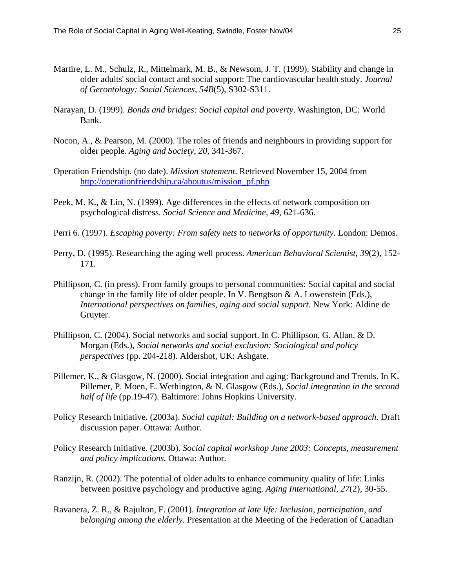- Martire, L. M., Schulz, R., Mittelmark, M. B., & Newsom, J. T. (1999). Stability and change in older adults' social contact and social support: The cardiovascular health study. *Journal of Gerontology: Social Sciences, 54B*(5), S302-S311.
- Narayan, D. (1999). *Bonds and bridges: Social capital and poverty*. Washington, DC: World Bank.
- Nocon, A., & Pearson, M. (2000). The roles of friends and neighbours in providing support for older people. *Aging and Society, 20*, 341-367.
- Operation Friendship. (no date). *Mission statement*. Retrieved November 15, 2004 from http://operationfriendship.ca/aboutus/mission\_pf.php
- Peek, M. K., & Lin, N. (1999). Age differences in the effects of network composition on psychological distress. *Social Science and Medicine, 49*, 621-636.
- Perri 6. (1997). *Escaping poverty: From safety nets to networks of opportunity*. London: Demos.
- Perry, D. (1995). Researching the aging well process. *American Behavioral Scientist, 39*(2), 152- 171.
- Phillipson, C. (in press). From family groups to personal communities: Social capital and social change in the family life of older people. In V. Bengtson  $\&$  A. Lowenstein (Eds.), *International perspectives on families, aging and social support*. New York: Aldine de Gruyter.
- Phillipson, C. (2004). Social networks and social support. In C. Phillipson, G. Allan, & D. Morgan (Eds.), *Social networks and social exclusion: Sociological and policy perspectives* (pp. 204-218). Aldershot, UK: Ashgate.
- Pillemer, K., & Glasgow, N. (2000). Social integration and aging: Background and Trends. In K. Pillemer, P. Moen, E. Wethington, & N. Glasgow (Eds.), *Social integration in the second half of life* (pp.19-47)*.* Baltimore: Johns Hopkins University.
- Policy Research Initiative. (2003a). *Social capital: Building on a network-based approach.* Draft discussion paper*.* Ottawa: Author.
- Policy Research Initiative. (2003b). *Social capital workshop June 2003: Concepts, measurement and policy implications.* Ottawa: Author.
- Ranzijn, R. (2002). The potential of older adults to enhance community quality of life: Links between positive psychology and productive aging. *Aging International, 27*(2), 30-55.
- Ravanera, Z. R., & Rajulton, F. (2001). *Integration at late life: Inclusion, participation, and belonging among the elderly*. Presentation at the Meeting of the Federation of Canadian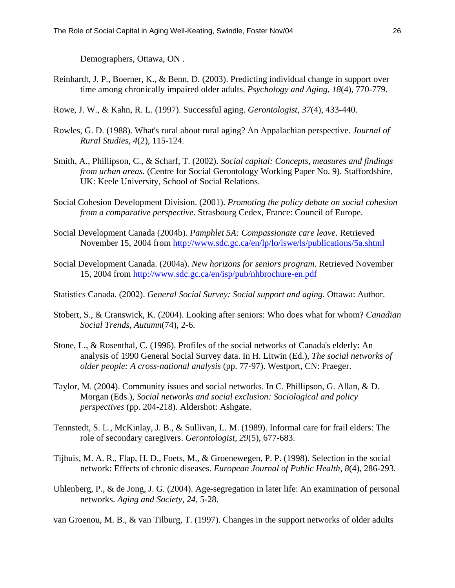Demographers, Ottawa, ON .

- Reinhardt, J. P., Boerner, K., & Benn, D. (2003). Predicting individual change in support over time among chronically impaired older adults. *Psychology and Aging, 18*(4), 770-779.
- Rowe, J. W., & Kahn, R. L. (1997). Successful aging. *Gerontologist, 37*(4), 433-440.
- Rowles, G. D. (1988). What's rural about rural aging? An Appalachian perspective. *Journal of Rural Studies, 4*(2), 115-124.
- Smith, A., Phillipson, C., & Scharf, T. (2002). *Social capital: Concepts, measures and findings from urban areas.* (Centre for Social Gerontology Working Paper No. 9). Staffordshire, UK: Keele University, School of Social Relations.
- Social Cohesion Development Division. (2001). *Promoting the policy debate on social cohesion from a comparative perspective*. Strasbourg Cedex, France: Council of Europe.
- Social Development Canada (2004b). *Pamphlet 5A: Compassionate care leave*. Retrieved November 15, 2004 from http://www.sdc.gc.ca/en/lp/lo/lswe/ls/publications/5a.shtml
- Social Development Canada. (2004a). *New horizons for seniors program*. Retrieved November 15, 2004 from http://www.sdc.gc.ca/en/isp/pub/nhbrochure-en.pdf
- Statistics Canada. (2002). *General Social Survey: Social support and aging*. Ottawa: Author.
- Stobert, S., & Cranswick, K. (2004). Looking after seniors: Who does what for whom? *Canadian Social Trends, Autumn*(74), 2-6.
- Stone, L., & Rosenthal, C. (1996). Profiles of the social networks of Canada's elderly: An analysis of 1990 General Social Survey data. In H. Litwin (Ed.), *The social networks of older people: A cross-national analysis* (pp. 77-97). Westport, CN: Praeger.
- Taylor, M. (2004). Community issues and social networks. In C. Phillipson, G. Allan, & D. Morgan (Eds.), *Social networks and social exclusion: Sociological and policy perspectives* (pp. 204-218). Aldershot: Ashgate.
- Tennstedt, S. L., McKinlay, J. B., & Sullivan, L. M. (1989). Informal care for frail elders: The role of secondary caregivers. *Gerontologist, 29*(5), 677-683.
- Tijhuis, M. A. R., Flap, H. D., Foets, M., & Groenewegen, P. P. (1998). Selection in the social network: Effects of chronic diseases. *European Journal of Public Health, 8*(4), 286-293.
- Uhlenberg, P., & de Jong, J. G. (2004). Age-segregation in later life: An examination of personal networks. *Aging and Society, 24*, 5-28.

van Groenou, M. B., & van Tilburg, T. (1997). Changes in the support networks of older adults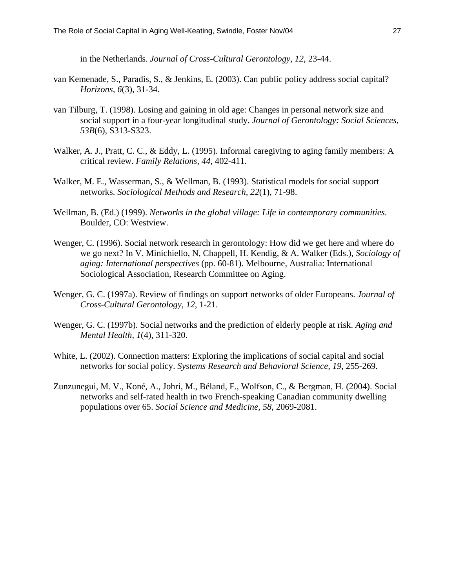in the Netherlands. *Journal of Cross-Cultural Gerontology, 12*, 23-44.

- van Kemenade, S., Paradis, S., & Jenkins, E. (2003). Can public policy address social capital? *Horizons, 6*(3), 31-34.
- van Tilburg, T. (1998). Losing and gaining in old age: Changes in personal network size and social support in a four-year longitudinal study. *Journal of Gerontology: Social Sciences, 53B*(6), S313-S323.
- Walker, A. J., Pratt, C. C., & Eddy, L. (1995). Informal caregiving to aging family members: A critical review. *Family Relations, 44*, 402-411.
- Walker, M. E., Wasserman, S., & Wellman, B. (1993). Statistical models for social support networks. *Sociological Methods and Research, 22*(1), 71-98.
- Wellman, B. (Ed.) (1999). *Networks in the global village: Life in contemporary communities*. Boulder, CO: Westview.
- Wenger, C. (1996). Social network research in gerontology: How did we get here and where do we go next? In V. Minichiello, N, Chappell, H. Kendig, & A. Walker (Eds.), *Sociology of aging: International perspectives* (pp. 60-81). Melbourne, Australia: International Sociological Association, Research Committee on Aging.
- Wenger, G. C. (1997a). Review of findings on support networks of older Europeans. *Journal of Cross-Cultural Gerontology, 12*, 1-21.
- Wenger, G. C. (1997b). Social networks and the prediction of elderly people at risk. *Aging and Mental Health, 1*(4), 311-320.
- White, L. (2002). Connection matters: Exploring the implications of social capital and social networks for social policy. *Systems Research and Behavioral Science, 19*, 255-269.
- Zunzunegui, M. V., Koné, A., Johri, M., Béland, F., Wolfson, C., & Bergman, H. (2004). Social networks and self-rated health in two French-speaking Canadian community dwelling populations over 65. *Social Science and Medicine, 58*, 2069-2081.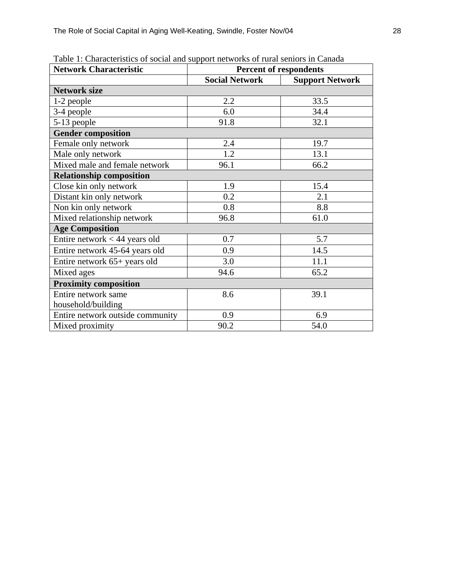| <b>Network Characteristic</b>    | <b>Percent of respondents</b> |                        |  |  |
|----------------------------------|-------------------------------|------------------------|--|--|
|                                  | <b>Social Network</b>         | <b>Support Network</b> |  |  |
| <b>Network size</b>              |                               |                        |  |  |
| 1-2 people                       | 2.2                           | 33.5                   |  |  |
| 3-4 people                       | 6.0                           | 34.4                   |  |  |
| 5-13 people                      | 91.8                          | 32.1                   |  |  |
| <b>Gender composition</b>        |                               |                        |  |  |
| Female only network              | 2.4                           | 19.7                   |  |  |
| Male only network                | 1.2                           | 13.1                   |  |  |
| Mixed male and female network    | 96.1                          | 66.2                   |  |  |
| <b>Relationship composition</b>  |                               |                        |  |  |
| Close kin only network           | 1.9                           | 15.4                   |  |  |
| Distant kin only network         | 0.2                           | 2.1                    |  |  |
| Non kin only network             | 0.8                           | 8.8                    |  |  |
| Mixed relationship network       | 96.8                          | 61.0                   |  |  |
| <b>Age Composition</b>           |                               |                        |  |  |
| Entire network $<$ 44 years old  | 0.7                           | 5.7                    |  |  |
| Entire network 45-64 years old   | 0.9                           | 14.5                   |  |  |
| Entire network 65+ years old     | 3.0                           | 11.1                   |  |  |
| Mixed ages                       | 94.6                          | 65.2                   |  |  |
| <b>Proximity composition</b>     |                               |                        |  |  |
| Entire network same              | 8.6                           | 39.1                   |  |  |
| household/building               |                               |                        |  |  |
| Entire network outside community | 0.9                           | 6.9                    |  |  |
| Mixed proximity                  | 90.2                          | 54.0                   |  |  |

Table 1: Characteristics of social and support networks of rural seniors in Canada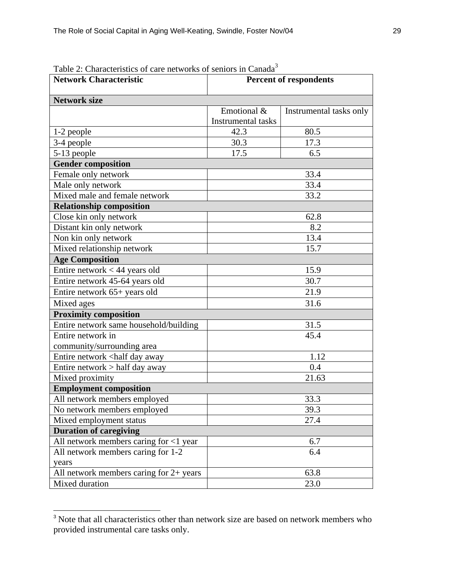| <b>Network Characteristic</b>                                            | <b>Percent of respondents</b>            |                         |  |  |
|--------------------------------------------------------------------------|------------------------------------------|-------------------------|--|--|
| <b>Network size</b>                                                      |                                          |                         |  |  |
|                                                                          | Emotional &<br><b>Instrumental tasks</b> | Instrumental tasks only |  |  |
| 1-2 people                                                               | 42.3                                     | 80.5                    |  |  |
| 3-4 people                                                               | 30.3                                     | 17.3                    |  |  |
| 5-13 people                                                              | 17.5                                     | 6.5                     |  |  |
| <b>Gender composition</b>                                                |                                          |                         |  |  |
| Female only network                                                      |                                          | 33.4                    |  |  |
| Male only network                                                        |                                          | 33.4                    |  |  |
| Mixed male and female network                                            |                                          | 33.2                    |  |  |
| <b>Relationship composition</b>                                          |                                          |                         |  |  |
| Close kin only network                                                   |                                          | 62.8                    |  |  |
| Distant kin only network                                                 | 8.2                                      |                         |  |  |
| Non kin only network                                                     | 13.4                                     |                         |  |  |
| Mixed relationship network                                               | 15.7                                     |                         |  |  |
| <b>Age Composition</b>                                                   |                                          |                         |  |  |
| Entire network $<$ 44 years old                                          | 15.9                                     |                         |  |  |
| Entire network 45-64 years old                                           | 30.7                                     |                         |  |  |
| Entire network 65+ years old                                             | 21.9                                     |                         |  |  |
| Mixed ages                                                               | 31.6                                     |                         |  |  |
| <b>Proximity composition</b>                                             |                                          |                         |  |  |
| Entire network same household/building                                   | 31.5                                     |                         |  |  |
| Entire network in                                                        | 45.4                                     |                         |  |  |
| community/surrounding area                                               |                                          |                         |  |  |
| Entire network <half away<="" day="" td=""><td></td><td>1.12</td></half> |                                          | 1.12                    |  |  |
| Entire network $>$ half day away                                         | 0.4                                      |                         |  |  |
| Mixed proximity                                                          | 21.63                                    |                         |  |  |
| <b>Employment composition</b>                                            |                                          |                         |  |  |
| All network members employed                                             |                                          | 33.3                    |  |  |
| No network members employed                                              | 39.3                                     |                         |  |  |
| Mixed employment status                                                  | 27.4                                     |                         |  |  |
| <b>Duration of caregiving</b>                                            |                                          |                         |  |  |
| All network members caring for <1 year                                   |                                          | 6.7                     |  |  |
| All network members caring for 1-2                                       |                                          | 6.4                     |  |  |
| years                                                                    |                                          |                         |  |  |
| All network members caring for $2+$ years                                |                                          | 63.8                    |  |  |
| Mixed duration                                                           | 23.0                                     |                         |  |  |

Table 2: Characteristics of care networks of seniors in Canada<sup>3</sup>

l

<sup>&</sup>lt;sup>3</sup> Note that all characteristics other than network size are based on network members who provided instrumental care tasks only.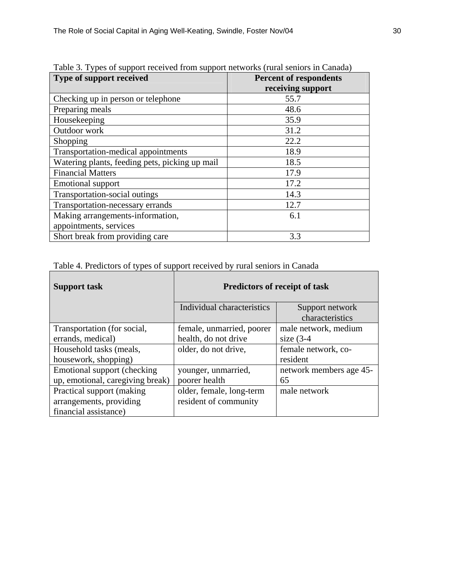| Type of support received                       | <b>Percent of respondents</b> |  |  |
|------------------------------------------------|-------------------------------|--|--|
|                                                | receiving support             |  |  |
| Checking up in person or telephone             | 55.7                          |  |  |
| Preparing meals                                | 48.6                          |  |  |
| Housekeeping                                   | 35.9                          |  |  |
| Outdoor work                                   | 31.2                          |  |  |
| Shopping                                       | 22.2                          |  |  |
| Transportation-medical appointments            | 18.9                          |  |  |
| Watering plants, feeding pets, picking up mail | 18.5                          |  |  |
| <b>Financial Matters</b>                       | 17.9                          |  |  |
| <b>Emotional support</b>                       | 17.2                          |  |  |
| Transportation-social outings                  | 14.3                          |  |  |
| Transportation-necessary errands               | 12.7                          |  |  |
| Making arrangements-information,               | 6.1                           |  |  |
| appointments, services                         |                               |  |  |
| Short break from providing care                | 3.3                           |  |  |

Table 3. Types of support received from support networks (rural seniors in Canada)

Table 4. Predictors of types of support received by rural seniors in Canada

| Support task                     | <b>Predictors of receipt of task</b> |                         |  |
|----------------------------------|--------------------------------------|-------------------------|--|
|                                  | Individual characteristics           | Support network         |  |
|                                  |                                      | characteristics         |  |
| Transportation (for social,      | female, unmarried, poorer            | male network, medium    |  |
| errands, medical)                | health, do not drive                 | size $(3-4)$            |  |
| Household tasks (meals,          | older, do not drive,                 | female network, co-     |  |
| housework, shopping)             |                                      | resident                |  |
| Emotional support (checking      | younger, unmarried,                  | network members age 45- |  |
| up, emotional, caregiving break) | poorer health                        | 65                      |  |
| Practical support (making        | older, female, long-term             | male network            |  |
| arrangements, providing          | resident of community                |                         |  |
| financial assistance)            |                                      |                         |  |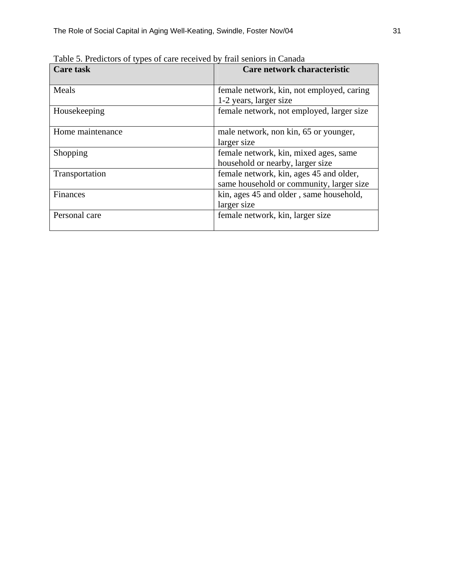| <b>Care task</b> | Care network characteristic                                                         |  |  |
|------------------|-------------------------------------------------------------------------------------|--|--|
| Meals            | female network, kin, not employed, caring<br>1-2 years, larger size                 |  |  |
| Housekeeping     | female network, not employed, larger size                                           |  |  |
| Home maintenance | male network, non kin, 65 or younger,<br>larger size                                |  |  |
| Shopping         | female network, kin, mixed ages, same<br>household or nearby, larger size           |  |  |
| Transportation   | female network, kin, ages 45 and older,<br>same household or community, larger size |  |  |
| Finances         | kin, ages 45 and older, same household,<br>larger size                              |  |  |
| Personal care    | female network, kin, larger size                                                    |  |  |

Table 5. Predictors of types of care received by frail seniors in Canada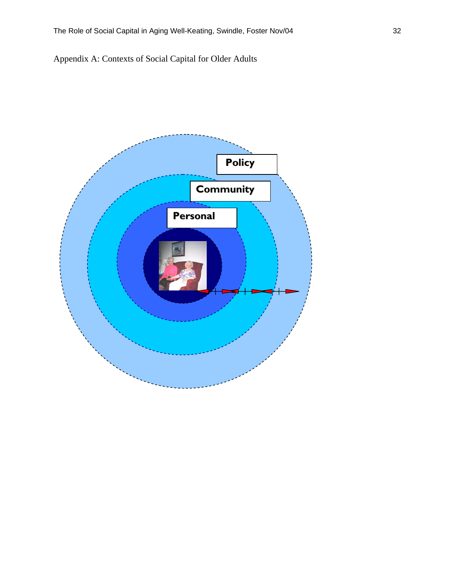Appendix A: Contexts of Social Capital for Older Adults